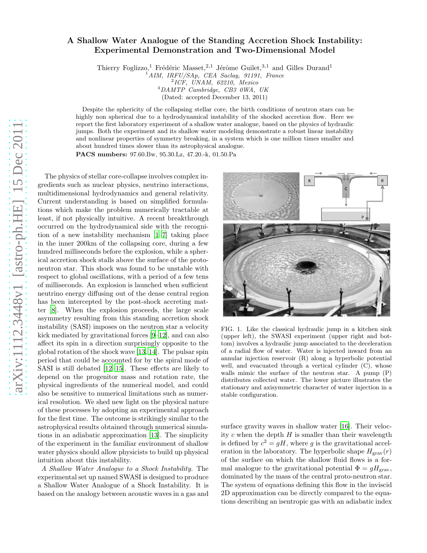## A Shallow Water Analogue of the Standing Accretion Shock Instability: Experimental Demonstration and Two-Dimensional Model

Thierry Foglizzo,<sup>1</sup> Frédéric Masset,<sup>2,1</sup> Jérôme Guilet,<sup>3,1</sup> and Gilles Durand<sup>1</sup>

 $1 AIM$ , IRFU/SAp, CEA Saclay, 91191, France

2 ICF, UNAM, 62210, Mexico

<sup>3</sup>DAMTP Cambridge, CB3 0WA, UK (Dated: accepted December 13, 2011)

Despite the sphericity of the collapsing stellar core, the birth conditions of neutron stars can be highly non spherical due to a hydrodynamical instability of the shocked accretion flow. Here we report the first laboratory experiment of a shallow water analogue, based on the physics of hydraulic jumps. Both the experiment and its shallow water modeling demonstrate a robust linear instability and nonlinear properties of symmetry breaking, in a system which is one million times smaller and about hundred times slower than its astrophysical analogue.

PACS numbers: 97.60.Bw, 95.30.Lz, 47.20.-k, 01.50.Pa

The physics of stellar core-collapse involves complex ingredients such as nuclear physics, neutrino interactions, multidimensional hydrodynamics and general relativity. Current understanding is based on simplified formulations which make the problem numerically tractable at least, if not physically intuitive. A recent breakthrough occurred on the hydrodynamical side with the recognition of a new instability mechanism [\[1](#page-3-0)[–7\]](#page-3-1) taking place in the inner 200km of the collapsing core, during a few hundred milliseconds before the explosion, while a spherical accretion shock stalls above the surface of the protoneutron star. This shock was found to be unstable with respect to global oscillations, with a period of a few tens of milliseconds. An explosion is launched when sufficient neutrino energy diffusing out of the dense central region has been intercepted by the post-shock accreting matter [\[8\]](#page-3-2). When the explosion proceeds, the large scale asymmetry resulting from this standing accretion shock instability (SASI) imposes on the neutron star a velocity kick mediated by gravitational forces [\[9](#page-3-3)[–12\]](#page-3-4), and can also affect its spin in a direction surprisingly opposite to the global rotation of the shock wave [\[13](#page-3-5), [14](#page-3-6)]. The pulsar spin period that could be accounted for by the spiral mode of SASI is still debated [\[12](#page-3-4)[–15\]](#page-3-7). These effects are likely to depend on the progenitor mass and rotation rate, the physical ingredients of the numerical model, and could also be sensitive to numerical limitations such as numerical resolution. We shed new light on the physical nature of these processes by adopting an experimental approach for the first time. The outcome is strikingly similar to the astrophysical results obtained through numerical simulations in an adiabatic approximation [\[13](#page-3-5)]. The simplicity of the experiment in the familiar environment of shallow water physics should allow physicists to build up physical intuition about this instability.

A Shallow Water Analogue to a Shock Instability. The experimental set up named SWASI is designed to produce a Shallow Water Analogue of a Shock Instability. It is based on the analogy between acoustic waves in a gas and



FIG. 1. Like the classical hydraulic jump in a kitchen sink (upper left), the SWASI experiment (upper right and bottom) involves a hydraulic jump associated to the deceleration of a radial flow of water. Water is injected inward from an annular injection reservoir (R) along a hyperbolic potential well, and evacuated through a vertical cylinder (C), whose walls mimic the surface of the neutron star. A pump (P) distributes collected water. The lower picture illustrates the stationary and axisymmetric character of water injection in a stable configuration.

<span id="page-0-0"></span>surface gravity waves in shallow water [\[16\]](#page-3-8). Their velocity  $c$  when the depth  $H$  is smaller than their wavelength is defined by  $c^2 = gH$ , where g is the gravitational acceleration in the laboratory. The hyperbolic shape  $H_{grav}(r)$ of the surface on which the shallow fluid flows is a formal analogue to the gravitational potential  $\Phi = gH_{\text{grav}}$ , dominated by the mass of the central proto-neutron star. The system of equations defining this flow in the inviscid 2D approximation can be directly compared to the equations describing an isentropic gas with an adiabatic index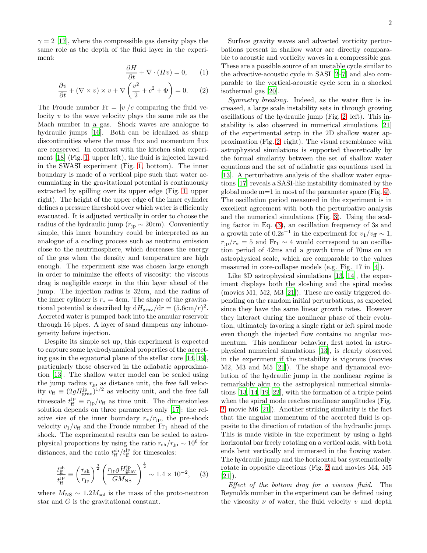$\gamma = 2$  [\[17\]](#page-3-9), where the compressible gas density plays the same role as the depth of the fluid layer in the experiment:

<span id="page-1-1"></span>
$$
\frac{\partial H}{\partial t} + \nabla \cdot (Hv) = 0, \qquad (1)
$$

$$
\frac{\partial v}{\partial t} + (\nabla \times v) \times v + \nabla \left(\frac{v^2}{2} + c^2 + \Phi\right) = 0. \quad (2)
$$

The Froude number  $Fr = |v|/c$  comparing the fluid velocity  $v$  to the wave velocity plays the same role as the Mach number in a gas. Shock waves are analogue to hydraulic jumps [\[16](#page-3-8)]. Both can be idealized as sharp discontinuities where the mass flux and momentum flux are conserved. In contrast with the kitchen sink experiment [\[18\]](#page-3-10) (Fig. [1,](#page-0-0) upper left), the fluid is injected inward in the SWASI experiment (Fig. [1,](#page-0-0) bottom). The inner boundary is made of a vertical pipe such that water accumulating in the gravitational potential is continuously extracted by spilling over its upper edge (Fig. [1,](#page-0-0) upper right). The height of the upper edge of the inner cylinder defines a pressure threshold over which water is efficiently evacuated. It is adjusted vertically in order to choose the radius of the hydraulic jump ( $r_{jp} \sim 20$ cm). Conveniently simple, this inner boundary could be interpreted as an analogue of a cooling process such as neutrino emission close to the neutrinosphere, which decreases the energy of the gas when the density and temperature are high enough. The experiment size was chosen large enough in order to minimize the effects of viscosity: the viscous drag is negligible except in the thin layer ahead of the jump. The injection radius is 32cm, and the radius of the inner cylinder is  $r_* = 4$ cm. The shape of the gravitational potential is described by  $dH_{\text{grav}}/dr = (5.6 \text{cm}/r)^2$ . Accreted water is pumped back into the annular reservoir through 16 pipes. A layer of sand dampens any inhomogeneity before injection.

Despite its simple set up, this experiment is expected to capture some hydrodynamical properties of the accreting gas in the equatorial plane of the stellar core [\[14,](#page-3-6) [19\]](#page-3-11), particularly those observed in the adiabatic approximation [\[13\]](#page-3-5). The shallow water model can be scaled using the jump radius  $r_{jp}$  as distance unit, the free fall velocity  $v_{\text{ff}} \equiv (2gH_{\text{grav}}^{\text{jp}})^{1/2}$  as velocity unit, and the free fall timescale  $t_{\text{ff}}^{\text{jp}} \equiv r_{\text{jp}}/v_{\text{ff}}$  as time unit. The dimensionless solution depends on three parameters only [\[17\]](#page-3-9): the relative size of the inner boundary  $r_*/r_{\rm jp}$ , the pre-shock velocity  $v_1/v_{\rm ff}$  and the Froude number  $Fr_1$  ahead of the shock. The experimental results can be scaled to astrophysical proportions by using the ratio  $r_{\rm sh}/r_{\rm jp} \sim 10^6$  for distances, and the ratio  $t_{\rm ff}^{\rm sh}/t_{\rm ff}^{\rm jp}$  for timescales:

<span id="page-1-0"></span>
$$
\frac{t_{\rm ff}^{\rm sh}}{t_{\rm ff}^{\rm ip}} \equiv \left(\frac{r_{\rm sh}}{r_{\rm jp}}\right)^{\frac{3}{2}} \left(\frac{r_{\rm jp} g H_{\rm grav}^{\rm ip}}{GM_{\rm NS}}\right)^{\frac{1}{2}} \sim 1.4 \times 10^{-2},\tag{3}
$$

where  $M_{\text{NS}} \sim 1.2 M_{\text{sol}}$  is the mass of the proto-neutron star and G is the gravitational constant.

Surface gravity waves and advected vorticity perturbations present in shallow water are directly comparable to acoustic and vorticity waves in a compressible gas. These are a possible source of an unstable cycle similar to the advective-acoustic cycle in SASI [\[2](#page-3-12)[–7\]](#page-3-1) and also comparable to the vortical-acoustic cycle seen in a shocked isothermal gas [\[20\]](#page-3-13).

Symmetry breaking. Indeed, as the water flux is increased, a large scale instability sets in through growing oscillations of the hydraulic jump (Fig. [2,](#page-2-0) left). This instability is also observed in numerical simulations [\[21](#page-3-14)] of the experimental setup in the 2D shallow water approximation (Fig. [2,](#page-2-0) right). The visual resemblance with astrophysical simulations is supported theoretically by the formal similarity between the set of shallow water equations and the set of adiabatic gas equations used in [\[13\]](#page-3-5). A perturbative analysis of the shallow water equations [\[17](#page-3-9)] reveals a SASI-like instability dominated by the global mode m=1 in most of the parameter space (Fig. [4\)](#page-2-1). The oscillation period measured in the experiment is in excellent agreement with both the perturbative analysis and the numerical simulations (Fig. [3\)](#page-2-2). Using the scaling factor in Eq. [\(3\)](#page-1-0), an oscillation frequency of 3s and a growth rate of  $0.2s^{-1}$  in the experiment for  $v_1/v_{\rm ff} \sim 1$ ,  $r_{\rm ip}/r_* = 5$  and Fr<sub>1</sub> ~ 4 would correspond to an oscillation period of 42ms and a growth time of 70ms on an astrophysical scale, which are comparable to the values measured in core-collapse models (e.g. Fig. 17 in [\[4](#page-3-15)]).

Like 3D astrophysical simulations [\[13,](#page-3-5) [14\]](#page-3-6), the experiment displays both the sloshing and the spiral modes (movies M1, M2, M3 [\[21](#page-3-14)]). These are easily triggered depending on the random initial perturbations, as expected since they have the same linear growth rates. However they interact during the nonlinear phase of their evolution, ultimately favoring a single right or left spiral mode even though the injected flow contains no angular momentum. This nonlinear behavior, first noted in astrophysical numerical simulations [\[13\]](#page-3-5), is clearly observed in the experiment if the instability is vigorous (movies M2, M3 and M5 [\[21](#page-3-14)]). The shape and dynamical evolution of the hydraulic jump in the nonlinear regime is remarkably akin to the astrophysical numerical simulations [\[13,](#page-3-5) [14,](#page-3-6) [19](#page-3-11), [22](#page-3-16)], with the formation of a triple point when the spiral mode reaches nonlinear amplitudes (Fig. [2,](#page-2-0) movie M6 [\[21](#page-3-14)]). Another striking similarity is the fact that the angular momentum of the accreted fluid is opposite to the direction of rotation of the hydraulic jump. This is made visible in the experiment by using a light horizontal bar freely rotating on a vertical axis, with both ends bent vertically and immersed in the flowing water. The hydraulic jump and the horizontal bar systematically rotate in opposite directions (Fig. [2](#page-2-0) and movies M4, M5 [\[21\]](#page-3-14)).

Effect of the bottom drag for a viscous fluid. The Reynolds number in the experiment can be defined using the viscosity  $\nu$  of water, the fluid velocity  $\nu$  and depth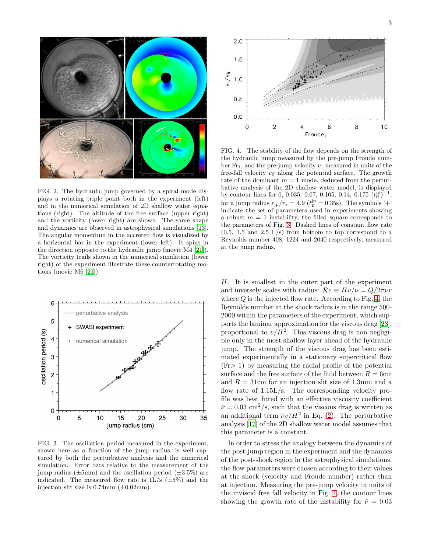

<span id="page-2-0"></span>FIG. 2. The hydraulic jump governed by a spiral mode displays a rotating triple point both in the experiment (left) and in the numerical simulation of 2D shallow water equations (right). The altitude of the free surface (upper right) and the vorticity (lower right) are shown. The same shape and dynamics are observed in astrophysical simulations [\[13](#page-3-5)]. The angular momentum in the accreted flow is visualized by a horizontal bar in the experiment (lower left). It spins in the direction opposite to the hydraulic jump (movie M4 [\[21](#page-3-14)]). The vorticity trails shown in the numerical simulation (lower right) of the experiment illustrate these counterrotating motions (movie M6 [\[21\]](#page-3-14)).



<span id="page-2-2"></span>FIG. 3. The oscillation period measured in the experiment, shown here as a function of the jump radius, is well captured by both the perturbative analysis and the numerical simulation. Error bars relative to the measurement of the jump radius ( $\pm 5$ mm) and the oscillation period ( $\pm 3.5\%$ ) are indicated. The measured flow rate is  $1L/s$  ( $\pm 5\%$ ) and the injection slit size is  $0.74$ mm  $(\pm 0.02$ mm).



<span id="page-2-1"></span>FIG. 4. The stability of the flow depends on the strength of the hydraulic jump measured by the pre-jump Froude number  $Fr_1$ , and the pre-jump velocity  $v_1$  measured in units of the free-fall velocity  $v_{\rm ff}$  along the potential surface. The growth rate of the dominant  $m = 1$  mode, deduced from the perturbative analysis of the 2D shallow water model, is displayed by contour lines for 0, 0.035, 0.07, 0.105, 0.14,  $0.175 \left(\frac{t^{\mathrm{jp}}}{\mathrm{ff}}\right)^{-1}$ , for a jump radius  $r_{jp}/r_* = 4.9$  ( $t_{ff}^{jp} = 0.35$ s). The symbols '+' indicate the set of parameters used in experiments showing a robust  $m = 1$  instability, the filled square corresponds to the parameters of Fig. [3.](#page-2-2) Dashed lines of constant flow rate  $(0.5, 1.5, \text{ and } 2.5, L/s)$  from bottom to top correspond to a Reynolds number 408, 1224 and 2040 respectively, measured at the jump radius.

H. It is smallest in the outer part of the experiment and inversely scales with radius:  $\mathcal{R}e \equiv Hv/\nu = Q/2\pi\nu r$ where  $Q$  is the injected flow rate. According to Fig. [4,](#page-2-1) the Reynolds number at the shock radius is in the range 500- 2000 within the parameters of the experiment, which supports the laminar approximation for the viscous drag [\[23\]](#page-3-17), proportional to  $v/H^2$ . This viscous drag is non negligible only in the most shallow layer ahead of the hydraulic jump. The strength of the viscous drag has been estimated experimentally in a stationary supercritical flow  $(Fr> 1)$  by measuring the radial profile of the potential surface and the free surface of the fluid between  $R = 6$ cm and  $R = 31$ cm for an injection slit size of 1.3mm and a flow rate of  $1.15L/s$ . The corresponding velocity profile was best fitted with an effective viscosity coefficient  $\bar{\nu} = 0.03$  cm<sup>2</sup>/s, such that the viscous drag is written as an additional term  $\bar{\nu}v/H^2$  in Eq. [\(2\)](#page-1-1). The perturbative analysis [\[17\]](#page-3-9) of the 2D shallow water model assumes that this parameter is a constant.

In order to stress the analogy between the dynamics of the post-jump region in the experiment and the dynamics of the post-shock region in the astrophysical simulations, the flow parameters were chosen according to their values at the shock (velocity and Froude number) rather than at injection. Measuring the pre-jump velocity in units of the inviscid free fall velocity in Fig. [4,](#page-2-1) the contour lines showing the growth rate of the instability for  $\bar{\nu} = 0.03$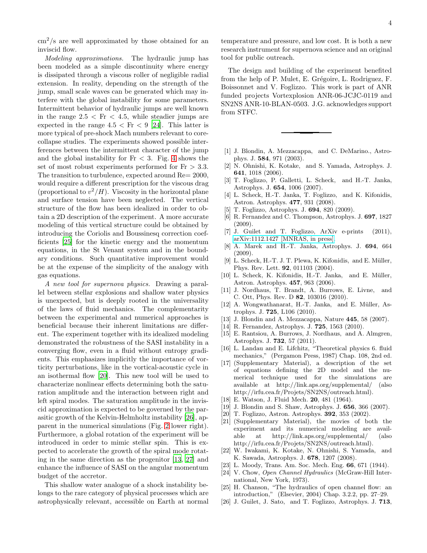$\text{cm}^2/\text{s}$  are well approximated by those obtained for an inviscid flow.

Modeling approximations. The hydraulic jump has been modeled as a simple discontinuity where energy is dissipated through a viscous roller of negligible radial extension. In reality, depending on the strength of the jump, small scale waves can be generated which may interfere with the global instability for some parameters. Intermittent behavior of hydraulic jumps are well known in the range  $2.5 < Fr < 4.5$ , while steadier jumps are expected in the range  $4.5 < Fr < 9$  [\[24](#page-3-18)]. This latter is more typical of pre-shock Mach numbers relevant to corecollapse studies. The experiments showed possible interferences between the intermittent character of the jump and the global instability for  $Fr < 3$ . Fig. [4](#page-2-1) shows the set of most robust experiments performed for  $Fr > 3.3$ . The transition to turbulence, expected around Re= 2000, would require a different prescription for the viscous drag (proportional to  $v^2/H$ ). Viscosity in the horizontal plane and surface tension have been neglected. The vertical structure of the flow has been idealized in order to obtain a 2D description of the experiment. A more accurate modeling of this vertical structure could be obtained by introducing the Coriolis and Boussinesq correction coefficients [\[25\]](#page-3-19) for the kinetic energy and the momentum equations, in the St Venant system and in the boundary conditions. Such quantitative improvement would be at the expense of the simplicity of the analogy with gas equations.

A new tool for supernova physics. Drawing a parallel between stellar explosions and shallow water physics is unexpected, but is deeply rooted in the universality of the laws of fluid mechanics. The complementarity between the experimental and numerical approaches is beneficial because their inherent limitations are different. The experiment together with its idealized modeling demonstrated the robustness of the SASI instability in a converging flow, even in a fluid without entropy gradients. This emphasizes implicitly the importance of vorticity perturbations, like in the vortical-acoustic cycle in an isothermal flow [\[20\]](#page-3-13). This new tool will be used to characterize nonlinear effects determining both the saturation amplitude and the interaction between right and left spiral modes. The saturation amplitude in the inviscid approximation is expected to be governed by the parasitic growth of the Kelvin-Helmholtz instability [\[26\]](#page-3-20), apparent in the numerical simulations (Fig. [2](#page-2-0) lower right). Furthermore, a global rotation of the experiment will be introduced in order to mimic stellar spin. This is expected to accelerate the growth of the spiral mode rotating in the same direction as the progenitor [\[13,](#page-3-5) [27\]](#page-4-0) and enhance the influence of SASI on the angular momentum budget of the accretor.

This shallow water analogue of a shock instability belongs to the rare category of physical processes which are astrophysically relevant, accessible on Earth at normal temperature and pressure, and low cost. It is both a new research instrument for supernova science and an original tool for public outreach.

The design and building of the experiment benefited from the help of P. Mulet, E. Grégoire, L. Rodriguez, F. Boissonnet and V. Foglizzo. This work is part of ANR funded projects Vortexplosion ANR-06-JCJC-0119 and SN2NS ANR-10-BLAN-0503. J.G. acknowledges support from STFC.

- <span id="page-3-0"></span>[1] J. Blondin, A. Mezzacappa, and C. DeMarino., Astrophys. J. 584, 971 (2003).
- <span id="page-3-12"></span>[2] N. Ohnishi, K. Kotake, and S. Yamada, Astrophys. J. 641, 1018 (2006).
- [3] T. Foglizzo, P. Galletti, L. Scheck, and H.-T. Janka, Astrophys. J. 654, 1006 (2007).
- <span id="page-3-15"></span>[4] L. Scheck, H.-T. Janka, T. Foglizzo, and K. Kifonidis, Astron. Astrophys. 477, 931 (2008).
- [5] T. Foglizzo, Astrophys. J.  $694$ , 820 (2009).<br>[6] R. Fernandez and C. Thompson, Astrophys.
- R. Fernandez and C. Thompson, Astrophys. J. 697, 1827 (2009).
- <span id="page-3-1"></span>[7] J. Guilet and T. Foglizzo, ArXiv e-prints (2011), [arXiv:1112.1427 \[MNRAS, in press\].](http://arxiv.org/abs/1112.1427)
- <span id="page-3-2"></span>[8] A. Marek and H.-T. Janka, Astrophys. J. 694, 664 (2009).
- <span id="page-3-3"></span>[9] L. Scheck, H.-T. J. T. Plewa, K. Kifonidis, and E. Müller, Phys. Rev. Lett. 92, 011103 (2004).
- [10] L. Scheck, K. Kifonidis, H.-T. Janka, and E. Müller, Astron. Astrophys. 457, 963 (2006).
- [11] J. Nordhaus, T. Brandt, A. Burrows, E. Livne, and C. Ott, Phys. Rev. D 82, 103016 (2010).
- <span id="page-3-4"></span>[12] A. Wongwathanarat, H.-T. Janka, and E. Müller, Astrophys. J. 725, L106 (2010).
- <span id="page-3-5"></span>[13] J. Blondin and A. Mezzacappa, Nature 445, 58 (2007).
- <span id="page-3-6"></span>[14] R. Fernandez, Astrophys. J. 725, 1563 (2010).
- <span id="page-3-7"></span>[15] E. Rantsiou, A. Burrows, J. Nordhaus, and A. Almgren, Astrophys. J. 732, 57 (2011).
- <span id="page-3-8"></span>[16] L. Landau and E. Lifchitz, "Theoretical physics 6. fluid mechanics," (Pergamon Press, 1987) Chap. 108, 2nd ed.
- <span id="page-3-9"></span>[17] (Supplementary Material), a description of the set of equations defining the 2D model and the numerical technique used for the simulations are available at http://link.aps.org/supplemental/ (also http://irfu.cea.fr/Projets/SN2NS/outreach.html).
- <span id="page-3-10"></span>[18] E. Watson, J. Fluid Mech. 20, 481 (1964).
- <span id="page-3-11"></span>[19] J. Blondin and S. Shaw, Astrophys. J. 656, 366 (2007).
- <span id="page-3-13"></span>[20] T. Foglizzo, Astron. Astrophys. 392, 353 (2002).
- <span id="page-3-14"></span>[21] (Supplementary Material), the movies of both the experiment and its numerical modeling are available at http://link.aps.org/supplemental/ (also http://irfu.cea.fr/Projets/SN2NS/outreach.html).
- <span id="page-3-16"></span>[22] W. Iwakami, K. Kotake, N. Ohnishi, S. Yamada, and K. Sawada, Astrophys. J. 678, 1207 (2008).
- <span id="page-3-17"></span>[23] L. Moody, Trans. Am. Soc. Mech. Eng. 66, 671 (1944).
- <span id="page-3-18"></span>[24] V. Chow, Open Channel Hydraulics (McGraw-Hill International, New York, 1973).
- <span id="page-3-19"></span>[25] H. Chanson, "The hydraulics of open channel flow: an introduction," (Elsevier, 2004) Chap. 3.2.2, pp. 27–29.
- <span id="page-3-20"></span>[26] J. Guilet, J. Sato, and T. Foglizzo, Astrophys. J. 713,